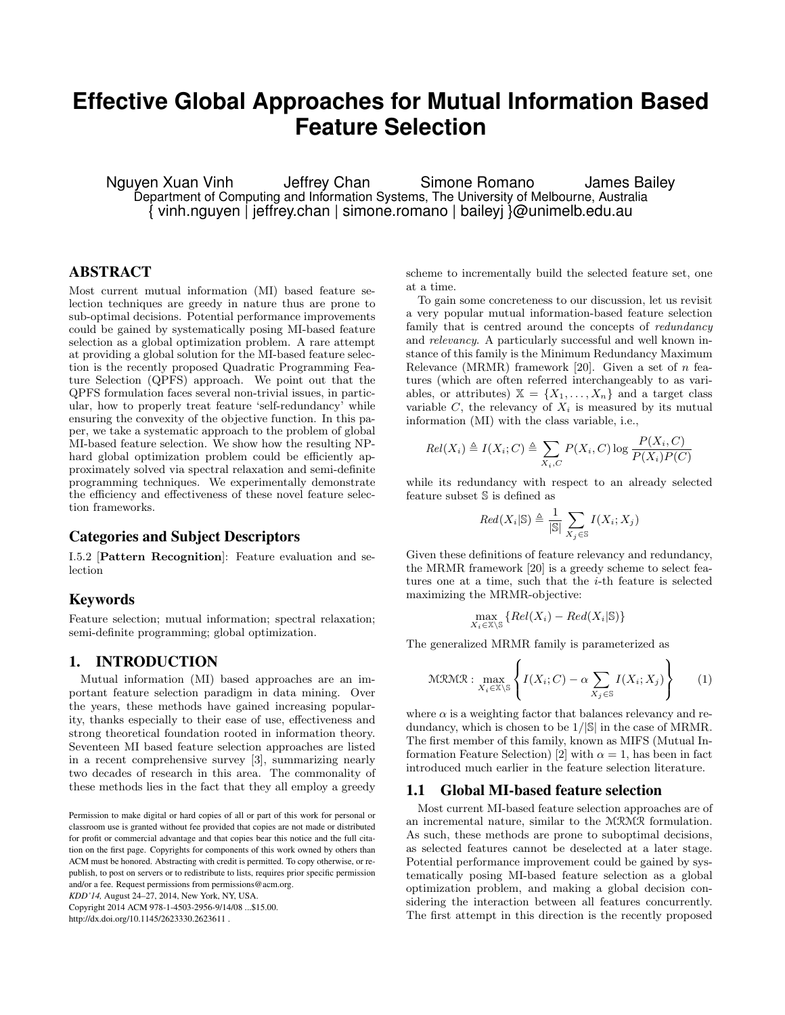# **Effective Global Approaches for Mutual Information Based Feature Selection**

Nguyen Xuan Vinh Jeffrey Chan Simone Romano James Bailey Department of Computing and Information Systems, The University of Melbourne, Australia { vinh.nguyen | jeffrey.chan | simone.romano | baileyj }@unimelb.edu.au

# ABSTRACT

Most current mutual information (MI) based feature selection techniques are greedy in nature thus are prone to sub-optimal decisions. Potential performance improvements could be gained by systematically posing MI-based feature selection as a global optimization problem. A rare attempt at providing a global solution for the MI-based feature selection is the recently proposed Quadratic Programming Feature Selection (QPFS) approach. We point out that the QPFS formulation faces several non-trivial issues, in particular, how to properly treat feature 'self-redundancy' while ensuring the convexity of the objective function. In this paper, we take a systematic approach to the problem of global MI-based feature selection. We show how the resulting NPhard global optimization problem could be efficiently approximately solved via spectral relaxation and semi-definite programming techniques. We experimentally demonstrate the efficiency and effectiveness of these novel feature selection frameworks.

## Categories and Subject Descriptors

I.5.2 [Pattern Recognition]: Feature evaluation and selection

# Keywords

Feature selection; mutual information; spectral relaxation; semi-definite programming; global optimization.

# 1. INTRODUCTION

Mutual information (MI) based approaches are an important feature selection paradigm in data mining. Over the years, these methods have gained increasing popularity, thanks especially to their ease of use, effectiveness and strong theoretical foundation rooted in information theory. Seventeen MI based feature selection approaches are listed in a recent comprehensive survey [3], summarizing nearly two decades of research in this area. The commonality of these methods lies in the fact that they all employ a greedy

*KDD'14,* August 24–27, 2014, New York, NY, USA.

Copyright 2014 ACM 978-1-4503-2956-9/14/08 ...\$15.00. http://dx.doi.org/10.1145/2623330.2623611 .

scheme to incrementally build the selected feature set, one at a time.

To gain some concreteness to our discussion, let us revisit a very popular mutual information-based feature selection family that is centred around the concepts of *redundancy* and relevancy. A particularly successful and well known instance of this family is the Minimum Redundancy Maximum Relevance (MRMR) framework [20]. Given a set of  $n$  features (which are often referred interchangeably to as variables, or attributes)  $\mathbb{X} = \{X_1, \ldots, X_n\}$  and a target class variable  $C$ , the relevancy of  $X_i$  is measured by its mutual information (MI) with the class variable, i.e.,

$$
Rel(X_i) \triangleq I(X_i; C) \triangleq \sum_{X_i, C} P(X_i, C) \log \frac{P(X_i, C)}{P(X_i)P(C)}
$$

while its redundancy with respect to an already selected feature subset S is defined as

$$
Red(X_i|\mathbb{S}) \triangleq \frac{1}{|\mathbb{S}|} \sum_{X_j \in \mathbb{S}} I(X_i; X_j)
$$

Given these definitions of feature relevancy and redundancy, the MRMR framework [20] is a greedy scheme to select features one at a time, such that the i-th feature is selected maximizing the MRMR-objective:

$$
\max_{X_i \in \mathbb{X} \backslash \mathbb{S}} \{ Rel(X_i) - Red(X_i | \mathbb{S}) \}
$$

The generalized MRMR family is parameterized as

$$
\text{MRMR}: \max_{X_i \in \mathbb{X} \backslash \mathbb{S}} \left\{ I(X_i; C) - \alpha \sum_{X_j \in \mathbb{S}} I(X_i; X_j) \right\} \tag{1}
$$

where  $\alpha$  is a weighting factor that balances relevancy and redundancy, which is chosen to be  $1/|\mathbb{S}|$  in the case of MRMR. The first member of this family, known as MIFS (Mutual Information Feature Selection) [2] with  $\alpha = 1$ , has been in fact introduced much earlier in the feature selection literature.

## 1.1 Global MI-based feature selection

Most current MI-based feature selection approaches are of an incremental nature, similar to the MRMR formulation. As such, these methods are prone to suboptimal decisions, as selected features cannot be deselected at a later stage. Potential performance improvement could be gained by systematically posing MI-based feature selection as a global optimization problem, and making a global decision considering the interaction between all features concurrently. The first attempt in this direction is the recently proposed

Permission to make digital or hard copies of all or part of this work for personal or classroom use is granted without fee provided that copies are not made or distributed for profit or commercial advantage and that copies bear this notice and the full citation on the first page. Copyrights for components of this work owned by others than ACM must be honored. Abstracting with credit is permitted. To copy otherwise, or republish, to post on servers or to redistribute to lists, requires prior specific permission and/or a fee. Request permissions from permissions@acm.org.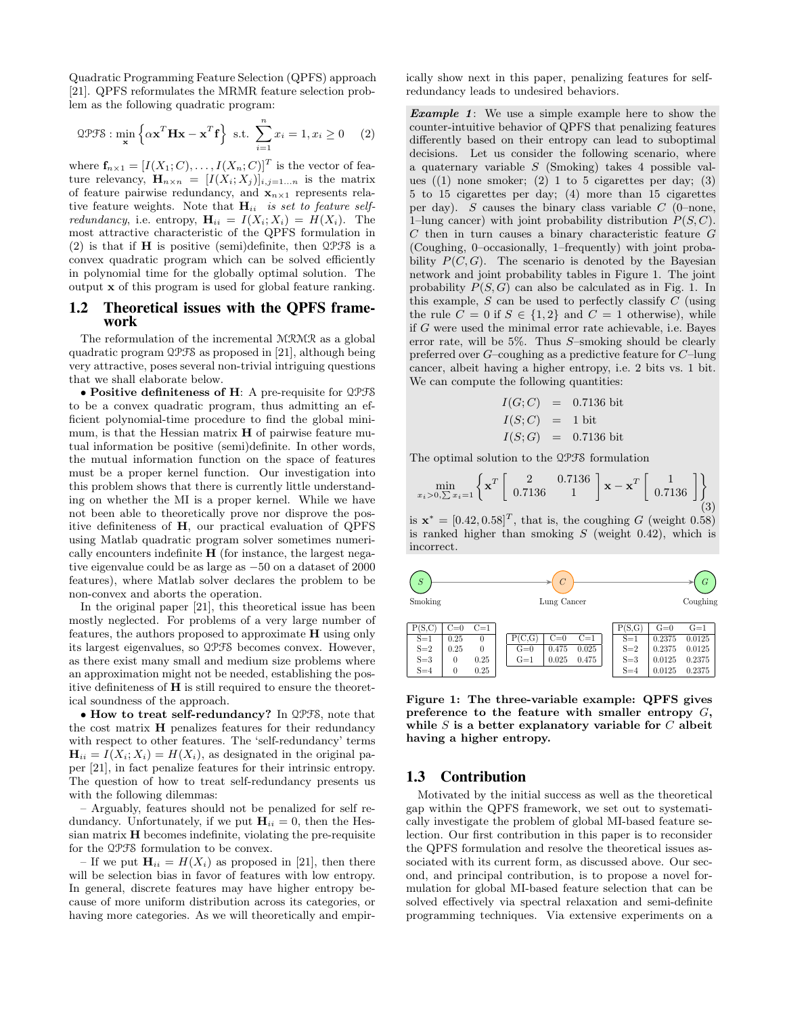Quadratic Programming Feature Selection (QPFS) approach [21]. QPFS reformulates the MRMR feature selection problem as the following quadratic program:

$$
\mathcal{QPTS}: \min_{\mathbf{x}} \left\{ \alpha \mathbf{x}^T \mathbf{H} \mathbf{x} - \mathbf{x}^T \mathbf{f} \right\} \text{ s.t. } \sum_{i=1}^n x_i = 1, x_i \ge 0 \quad (2)
$$

where  $\mathbf{f}_{n\times 1} = [I(X_1; C), \dots, I(X_n; C)]^T$  is the vector of feature relevancy,  $\mathbf{H}_{n\times n} = [I(X_i; X_j)]_{i,j=1...n}$  is the matrix of feature pairwise redundancy, and  $x_{n\times 1}$  represents relative feature weights. Note that  $H_{ii}$  is set to feature self*redundancy*, i.e. entropy,  $\mathbf{H}_{ii} = I(X_i; X_i) = H(X_i)$ . The most attractive characteristic of the QPFS formulation in (2) is that if H is positive (semi)definite, then QPFS is a convex quadratic program which can be solved efficiently in polynomial time for the globally optimal solution. The output x of this program is used for global feature ranking.

### 1.2 Theoretical issues with the QPFS framework

The reformulation of the incremental MRMR as a global quadratic program QPFS as proposed in [21], although being very attractive, poses several non-trivial intriguing questions that we shall elaborate below.

• Positive definiteness of H: A pre-requisite for QPFS to be a convex quadratic program, thus admitting an efficient polynomial-time procedure to find the global minimum, is that the Hessian matrix H of pairwise feature mutual information be positive (semi)definite. In other words, the mutual information function on the space of features must be a proper kernel function. Our investigation into this problem shows that there is currently little understanding on whether the MI is a proper kernel. While we have not been able to theoretically prove nor disprove the positive definiteness of H, our practical evaluation of QPFS using Matlab quadratic program solver sometimes numerically encounters indefinite  $H$  (for instance, the largest negative eigenvalue could be as large as −50 on a dataset of 2000 features), where Matlab solver declares the problem to be non-convex and aborts the operation.

In the original paper [21], this theoretical issue has been mostly neglected. For problems of a very large number of features, the authors proposed to approximate H using only its largest eigenvalues, so QPFS becomes convex. However, as there exist many small and medium size problems where an approximation might not be needed, establishing the positive definiteness of H is still required to ensure the theoretical soundness of the approach.

• How to treat self-redundancy? In QPFS, note that the cost matrix H penalizes features for their redundancy with respect to other features. The 'self-redundancy' terms  $\mathbf{H}_{ii} = I(X_i; X_i) = H(X_i)$ , as designated in the original paper [21], in fact penalize features for their intrinsic entropy. The question of how to treat self-redundancy presents us with the following dilemmas:

– Arguably, features should not be penalized for self redundancy. Unfortunately, if we put  $H_{ii} = 0$ , then the Hessian matrix  $H$  becomes indefinite, violating the pre-requisite for the QPFS formulation to be convex.

– If we put  $\mathbf{H}_{ii} = H(X_i)$  as proposed in [21], then there will be selection bias in favor of features with low entropy. In general, discrete features may have higher entropy because of more uniform distribution across its categories, or having more categories. As we will theoretically and empirically show next in this paper, penalizing features for selfredundancy leads to undesired behaviors.

**Example 1:** We use a simple example here to show the counter-intuitive behavior of QPFS that penalizing features differently based on their entropy can lead to suboptimal decisions. Let us consider the following scenario, where a quaternary variable S (Smoking) takes 4 possible values  $((1)$  none smoker;  $(2)$  1 to 5 cigarettes per day;  $(3)$ 5 to 15 cigarettes per day; (4) more than 15 cigarettes per day). S causes the binary class variable  $C$  (0–none, 1–lung cancer) with joint probability distribution  $P(S, C)$ .  $C$  then in turn causes a binary characteristic feature  $G$ (Coughing, 0–occasionally, 1–frequently) with joint probability  $P(C, G)$ . The scenario is denoted by the Bayesian network and joint probability tables in Figure 1. The joint probability  $P(S, G)$  can also be calculated as in Fig. 1. In this example,  $S$  can be used to perfectly classify  $C$  (using the rule  $C = 0$  if  $S \in \{1, 2\}$  and  $C = 1$  otherwise), while if G were used the minimal error rate achievable, i.e. Bayes error rate, will be  $5\%$ . Thus S-smoking should be clearly preferred over G–coughing as a predictive feature for C–lung cancer, albeit having a higher entropy, i.e. 2 bits vs. 1 bit. We can compute the following quantities:

$$
I(G; C) = 0.7136 \text{ bit}
$$
  

$$
I(S; C) = 1 \text{ bit}
$$
  

$$
I(S; G) = 0.7136 \text{ bit}
$$

The optimal solution to the QPFS formulation

$$
\min_{x_i > 0, \sum x_i = 1} \left\{ \mathbf{x}^T \begin{bmatrix} 2 & 0.7136 \\ 0.7136 & 1 \end{bmatrix} \mathbf{x} - \mathbf{x}^T \begin{bmatrix} 1 \\ 0.7136 \end{bmatrix} \right\}
$$
(3)

is  $\mathbf{x}^* = [0.42, 0.58]^T$ , that is, the coughing G (weight 0.58) is ranked higher than smoking  $S$  (weight 0.42), which is incorrect.



Figure 1: The three-variable example: QPFS gives preference to the feature with smaller entropy G, while  $S$  is a better explanatory variable for  $C$  albeit having a higher entropy.

#### 1.3 Contribution

Motivated by the initial success as well as the theoretical gap within the QPFS framework, we set out to systematically investigate the problem of global MI-based feature selection. Our first contribution in this paper is to reconsider the QPFS formulation and resolve the theoretical issues associated with its current form, as discussed above. Our second, and principal contribution, is to propose a novel formulation for global MI-based feature selection that can be solved effectively via spectral relaxation and semi-definite programming techniques. Via extensive experiments on a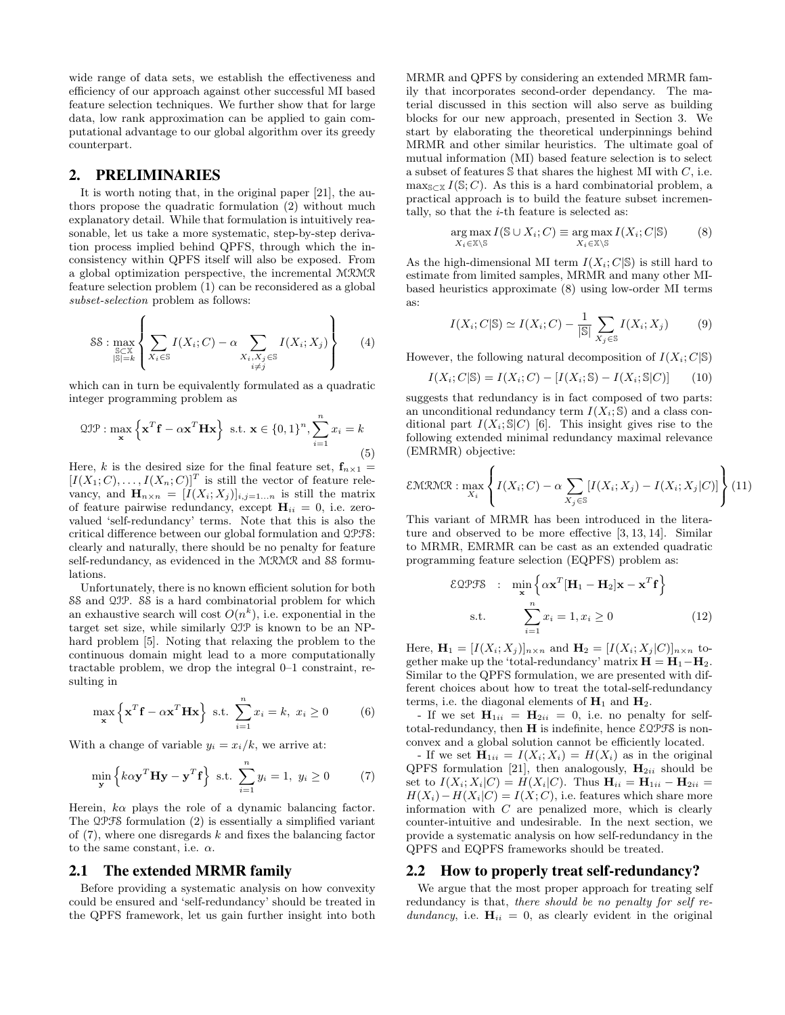wide range of data sets, we establish the effectiveness and efficiency of our approach against other successful MI based feature selection techniques. We further show that for large data, low rank approximation can be applied to gain computational advantage to our global algorithm over its greedy counterpart.

# 2. PRELIMINARIES

It is worth noting that, in the original paper [21], the authors propose the quadratic formulation (2) without much explanatory detail. While that formulation is intuitively reasonable, let us take a more systematic, step-by-step derivation process implied behind QPFS, through which the inconsistency within QPFS itself will also be exposed. From a global optimization perspective, the incremental MRMR feature selection problem (1) can be reconsidered as a global subset-selection problem as follows:

$$
\mathcal{SS} : \max_{\substack{\mathbb{S} \subset \mathbb{X} \\ |\mathbb{S}| = k}} \left\{ \sum_{X_i \in \mathbb{S}} I(X_i; C) - \alpha \sum_{\substack{X_i, X_j \in \mathbb{S} \\ i \neq j}} I(X_i; X_j) \right\} \tag{4}
$$

which can in turn be equivalently formulated as a quadratic integer programming problem as

$$
\mathfrak{QIP}: \max_{\mathbf{x}} \left\{ \mathbf{x}^T \mathbf{f} - \alpha \mathbf{x}^T \mathbf{H} \mathbf{x} \right\} \text{ s.t. } \mathbf{x} \in \{0, 1\}^n, \sum_{i=1}^n x_i = k
$$
\n<sup>(5)</sup>

Here, k is the desired size for the final feature set,  $f_{n\times 1}$  =  $[I(X_1; C), \ldots, I(X_n; C)]^T$  is still the vector of feature relevancy, and  $\mathbf{H}_{n\times n} = [I(X_i; X_j)]_{i,j=1...n}$  is still the matrix of feature pairwise redundancy, except  $H_{ii} = 0$ , i.e. zerovalued 'self-redundancy' terms. Note that this is also the critical difference between our global formulation and QPFS: clearly and naturally, there should be no penalty for feature self-redundancy, as evidenced in the MRMR and SS formulations.

Unfortunately, there is no known efficient solution for both SS and QIP. SS is a hard combinatorial problem for which an exhaustive search will cost  $O(n^k)$ , i.e. exponential in the target set size, while similarly QIP is known to be an NPhard problem [5]. Noting that relaxing the problem to the continuous domain might lead to a more computationally tractable problem, we drop the integral 0–1 constraint, resulting in

$$
\max_{\mathbf{x}} \left\{ \mathbf{x}^T \mathbf{f} - \alpha \mathbf{x}^T \mathbf{H} \mathbf{x} \right\} \text{ s.t. } \sum_{i=1}^n x_i = k, \ x_i \ge 0 \tag{6}
$$

With a change of variable  $y_i = x_i/k$ , we arrive at:

$$
\min_{\mathbf{y}} \left\{ k \alpha \mathbf{y}^T \mathbf{H} \mathbf{y} - \mathbf{y}^T \mathbf{f} \right\} \text{ s.t. } \sum_{i=1}^n y_i = 1, \ y_i \ge 0 \tag{7}
$$

Herein,  $k\alpha$  plays the role of a dynamic balancing factor. The QPFS formulation (2) is essentially a simplified variant of  $(7)$ , where one disregards k and fixes the balancing factor to the same constant, i.e.  $\alpha$ .

## 2.1 The extended MRMR family

Before providing a systematic analysis on how convexity could be ensured and 'self-redundancy' should be treated in the QPFS framework, let us gain further insight into both MRMR and QPFS by considering an extended MRMR family that incorporates second-order dependancy. The material discussed in this section will also serve as building blocks for our new approach, presented in Section 3. We start by elaborating the theoretical underpinnings behind MRMR and other similar heuristics. The ultimate goal of mutual information (MI) based feature selection is to select a subset of features  $\mathcal S$  that shares the highest MI with  $C$ , i.e.  $\max_{S\subset \mathbb{X}} I(S; C)$ . As this is a hard combinatorial problem, a practical approach is to build the feature subset incrementally, so that the  $i$ -th feature is selected as:

$$
\underset{X_i \in \mathbb{X} \backslash \mathbb{S}}{\arg \max} I(\mathbb{S} \cup X_i; C) \equiv \underset{X_i \in \mathbb{X} \backslash \mathbb{S}}{\arg \max} I(X_i; C | \mathbb{S})
$$
(8)

As the high-dimensional MI term  $I(X_i; C|S)$  is still hard to estimate from limited samples, MRMR and many other MIbased heuristics approximate (8) using low-order MI terms as:

$$
I(X_i; C | \mathbb{S}) \simeq I(X_i; C) - \frac{1}{|\mathbb{S}|} \sum_{X_j \in \mathbb{S}} I(X_i; X_j)
$$
(9)

However, the following natural decomposition of  $I(X_i; C|S)$ 

$$
I(X_i; C | \mathbb{S}) = I(X_i; C) - [I(X_i; \mathbb{S}) - I(X_i; \mathbb{S} | C)] \tag{10}
$$

suggests that redundancy is in fact composed of two parts: an unconditional redundancy term  $I(X_i; S)$  and a class conditional part  $I(X_i; S | C)$  [6]. This insight gives rise to the following extended minimal redundancy maximal relevance (EMRMR) objective:

$$
\text{EMRMR}: \max_{X_i} \left\{ I(X_i; C) - \alpha \sum_{X_j \in \mathbb{S}} [I(X_i; X_j) - I(X_i; X_j | C)] \right\} (11)
$$

This variant of MRMR has been introduced in the literature and observed to be more effective [3, 13, 14]. Similar to MRMR, EMRMR can be cast as an extended quadratic programming feature selection (EQPFS) problem as:

$$
\mathcal{E} \mathcal{Q} \mathcal{P} \mathcal{F} \mathcal{S} : \min_{\mathbf{x}} \left\{ \alpha \mathbf{x}^{T} [\mathbf{H}_{1} - \mathbf{H}_{2}] \mathbf{x} - \mathbf{x}^{T} \mathbf{f} \right\}
$$
  
s.t. 
$$
\sum_{i=1}^{n} x_{i} = 1, x_{i} \ge 0
$$
(12)

Here,  $\mathbf{H}_1 = [I(X_i; X_j)]_{n \times n}$  and  $\mathbf{H}_2 = [I(X_i; X_j]C)]_{n \times n}$  together make up the 'total-redundancy' matrix  $H = H_1 - H_2$ . Similar to the QPFS formulation, we are presented with different choices about how to treat the total-self-redundancy terms, i.e. the diagonal elements of  $H_1$  and  $H_2$ .

- If we set  $H_{1ii} = H_{2ii} = 0$ , i.e. no penalty for selftotal-redundancy, then  $H$  is indefinite, hence  $\text{\&}Q\text{\&}f\text{\&}$  is nonconvex and a global solution cannot be efficiently located.

- If we set  $\mathbf{H}_{1ii} = I(X_i; X_i) = H(X_i)$  as in the original QPFS formulation [21], then analogously,  $H_{2ii}$  should be set to  $I(X_i; X_i|C) = H(X_i|C)$ . Thus  $\mathbf{H}_{ii} = \mathbf{H}_{1ii} - \mathbf{H}_{2ii}$  $H(X_i) - H(X_i|C) = I(X;C)$ , i.e. features which share more information with  $C$  are penalized more, which is clearly counter-intuitive and undesirable. In the next section, we provide a systematic analysis on how self-redundancy in the QPFS and EQPFS frameworks should be treated.

#### 2.2 How to properly treat self-redundancy?

We argue that the most proper approach for treating self redundancy is that, there should be no penalty for self redundancy, i.e.  $H_{ii} = 0$ , as clearly evident in the original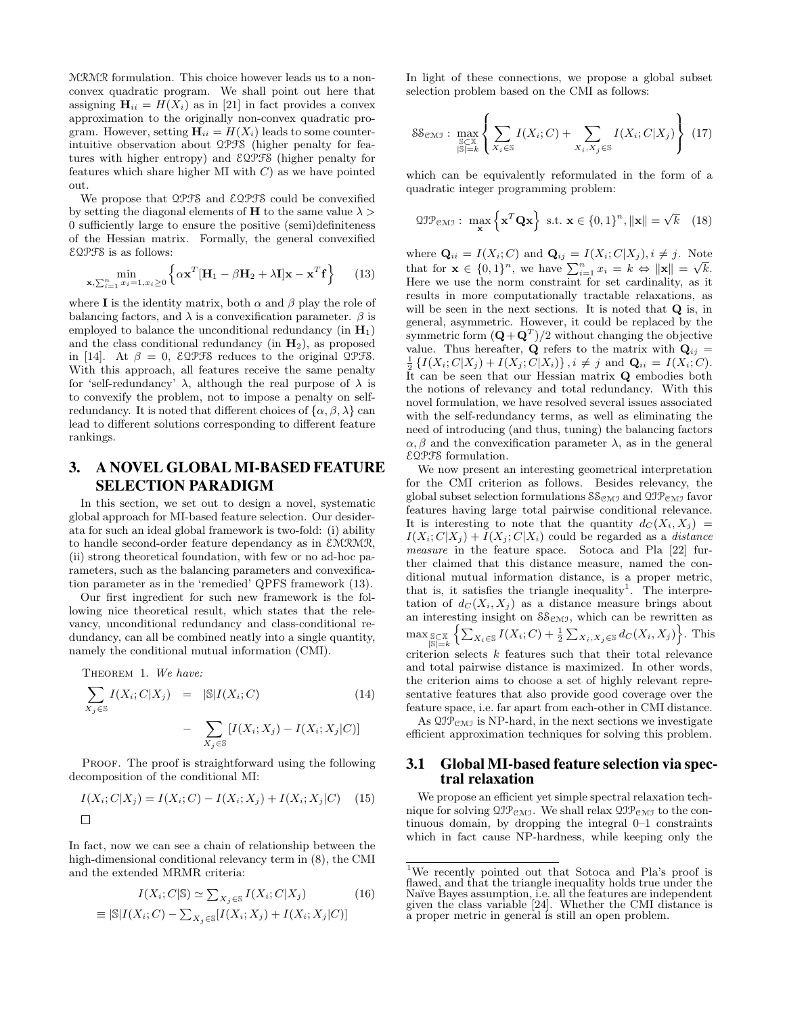MRMR formulation. This choice however leads us to a nonconvex quadratic program. We shall point out here that assigning  $\mathbf{H}_{ii} = H(X_i)$  as in [21] in fact provides a convex approximation to the originally non-convex quadratic program. However, setting  $\mathbf{H}_{ii} = H(X_i)$  leads to some counterintuitive observation about QPFS (higher penalty for features with higher entropy) and EQPFS (higher penalty for features which share higher MI with  $C$ ) as we have pointed out.

We propose that QPFS and EQPFS could be convexified by setting the diagonal elements of **H** to the same value  $\lambda$ 0 sufficiently large to ensure the positive (semi)definiteness of the Hessian matrix. Formally, the general convexified EQPFS is as follows:

$$
\min_{\mathbf{x}, \sum_{i=1}^n x_i = 1, x_i \ge 0} \left\{ \alpha \mathbf{x}^T [\mathbf{H}_1 - \beta \mathbf{H}_2 + \lambda \mathbf{I}] \mathbf{x} - \mathbf{x}^T \mathbf{f} \right\} \tag{13}
$$

where **I** is the identity matrix, both  $\alpha$  and  $\beta$  play the role of balancing factors, and  $\lambda$  is a convexification parameter.  $\beta$  is employed to balance the unconditional redundancy (in  $H_1$ ) and the class conditional redundancy (in  $H_2$ ), as proposed in [14]. At  $\beta = 0$ ,  $\epsilon$ QPFS reduces to the original QPFS. With this approach, all features receive the same penalty for 'self-redundancy'  $\lambda$ , although the real purpose of  $\lambda$  is to convexify the problem, not to impose a penalty on selfredundancy. It is noted that different choices of  $\{\alpha, \beta, \lambda\}$  can lead to different solutions corresponding to different feature rankings.

# 3. A NOVEL GLOBAL MI-BASED FEATURE SELECTION PARADIGM

In this section, we set out to design a novel, systematic global approach for MI-based feature selection. Our desiderata for such an ideal global framework is two-fold: (i) ability to handle second-order feature dependancy as in EMRMR, (ii) strong theoretical foundation, with few or no ad-hoc parameters, such as the balancing parameters and convexification parameter as in the 'remedied' QPFS framework (13).

Our first ingredient for such new framework is the following nice theoretical result, which states that the relevancy, unconditional redundancy and class-conditional redundancy, can all be combined neatly into a single quantity, namely the conditional mutual information (CMI).

THEOREM 1. We have:

$$
\sum_{X_j \in \mathbb{S}} I(X_i; C | X_j) = |\mathbb{S}| I(X_i; C)
$$
\n
$$
- \sum_{X_j \in \mathbb{S}} [I(X_i; X_j) - I(X_i; X_j | C)]
$$
\n
$$
(14)
$$

PROOF. The proof is straightforward using the following decomposition of the conditional MI:

$$
I(X_i; C | X_j) = I(X_i; C) - I(X_i; X_j) + I(X_i; X_j | C) \quad (15)
$$

In fact, now we can see a chain of relationship between the high-dimensional conditional relevancy term in (8), the CMI and the extended MRMR criteria:

$$
I(X_i; C|S) \simeq \sum_{X_j \in S} I(X_i; C|X_j)
$$
\n(16)

$$
\equiv |\mathbb{S}|I(X_i;C) - \sum_{X_j \in \mathbb{S}}[I(X_i;X_j) + I(X_i;X_j|C)]
$$

In light of these connections, we propose a global subset selection problem based on the CMI as follows:

$$
S\mathcal{S}_{\mathcal{CMJ}}: \max_{\mathbb{S}\subset\mathbb{X}\atop|\mathbb{S}|=k} \left\{ \sum_{X_i\in\mathbb{S}} I(X_i;C) + \sum_{X_i,X_j\in\mathbb{S}} I(X_i;C|X_j) \right\} (17)
$$

which can be equivalently reformulated in the form of a quadratic integer programming problem:

$$
\mathfrak{QIP}_{\mathfrak{CMI}}: \ \max_{\mathbf{x}} \left\{ \mathbf{x}^T \mathbf{Q} \mathbf{x} \right\} \ \text{s.t.} \ \mathbf{x} \in \left\{0, 1\right\}^n, \|\mathbf{x}\| = \sqrt{k} \quad (18)
$$

where  $\mathbf{Q}_{ii} = I(X_i; C)$  and  $\mathbf{Q}_{ij} = I(X_i; C | X_j), i \neq j$ . Note where  $\mathbf{Q}_{ii} = I(\mathbf{\Lambda}_i; \mathbf{C})$  and  $\mathbf{Q}_{ij} = I(\mathbf{\Lambda}_i; \mathbf{C} | \mathbf{\Lambda}_j), i \neq j$ . Note<br>that for  $\mathbf{x} \in \{0,1\}^n$ , we have  $\sum_{i=1}^n x_i = k \Leftrightarrow ||\mathbf{x}|| = \sqrt{k}$ . Here we use the norm constraint for set cardinality, as it results in more computationally tractable relaxations, as will be seen in the next sections. It is noted that **Q** is, in general, asymmetric. However, it could be replaced by the symmetric form  $(Q + Q<sup>T</sup>)/2$  without changing the objective value. Thus hereafter, **Q** refers to the matrix with  $\mathbf{Q}_{ij} =$  $\frac{1}{2} \{I(X_i; C | X_j) + I(X_j; C | X_i)\}, i \neq j \text{ and } \mathbf{Q}_{ii} = I(X_i; C).$ It can be seen that our Hessian matrix Q embodies both the notions of relevancy and total redundancy. With this novel formulation, we have resolved several issues associated with the self-redundancy terms, as well as eliminating the need of introducing (and thus, tuning) the balancing factors  $\alpha, \beta$  and the convexification parameter  $\lambda$ , as in the general EQPFS formulation.

We now present an interesting geometrical interpretation for the CMI criterion as follows. Besides relevancy, the global subset selection formulations  $S_{\mathcal{CMI}}$  and  $\mathcal{QIP}_{\mathcal{CMI}}$  favor features having large total pairwise conditional relevance. It is interesting to note that the quantity  $d_C(X_i, X_j) =$  $I(X_i; C | X_i) + I(X_i; C | X_i)$  could be regarded as a *distance* measure in the feature space. Sotoca and Pla [22] further claimed that this distance measure, named the conditional mutual information distance, is a proper metric, that is, it satisfies the triangle inequality<sup>1</sup>. The interpretation of  $d_C(X_i, X_j)$  as a distance measure brings about an interesting insight on  $S_{\mathcal{CMI}}$ , which can be rewritten as  $\max_{\substack{S \subset X \\ |S| = k}} \left\{ \sum_{X_i \in S} I(X_i; C) + \frac{1}{2} \sum_{X_i, X_j \in S} d_C(X_i, X_j) \right\}$ . This criterion selects  $k$  features such that their total relevance and total pairwise distance is maximized. In other words, the criterion aims to choose a set of highly relevant representative features that also provide good coverage over the feature space, i.e. far apart from each-other in CMI distance.

As  $\mathfrak{QIP}_{\mathfrak{CMI}}$  is NP-hard, in the next sections we investigate efficient approximation techniques for solving this problem.

# 3.1 Global MI-based feature selection via spectral relaxation

We propose an efficient yet simple spectral relaxation technique for solving  $\mathfrak{O} \mathfrak{I} \mathfrak{P}_{\mathfrak{C} \mathfrak{M} \mathfrak{I}}$ . We shall relax  $\mathfrak{O} \mathfrak{I} \mathfrak{P}_{\mathfrak{C} \mathfrak{M} \mathfrak{I}}$  to the continuous domain, by dropping the integral 0–1 constraints which in fact cause NP-hardness, while keeping only the

<sup>1</sup>We recently pointed out that Sotoca and Pla's proof is flawed, and that the triangle inequality holds true under the Na¨ıve Bayes assumption, i.e. all the features are independent given the class variable [24]. Whether the CMI distance is a proper metric in general is still an open problem.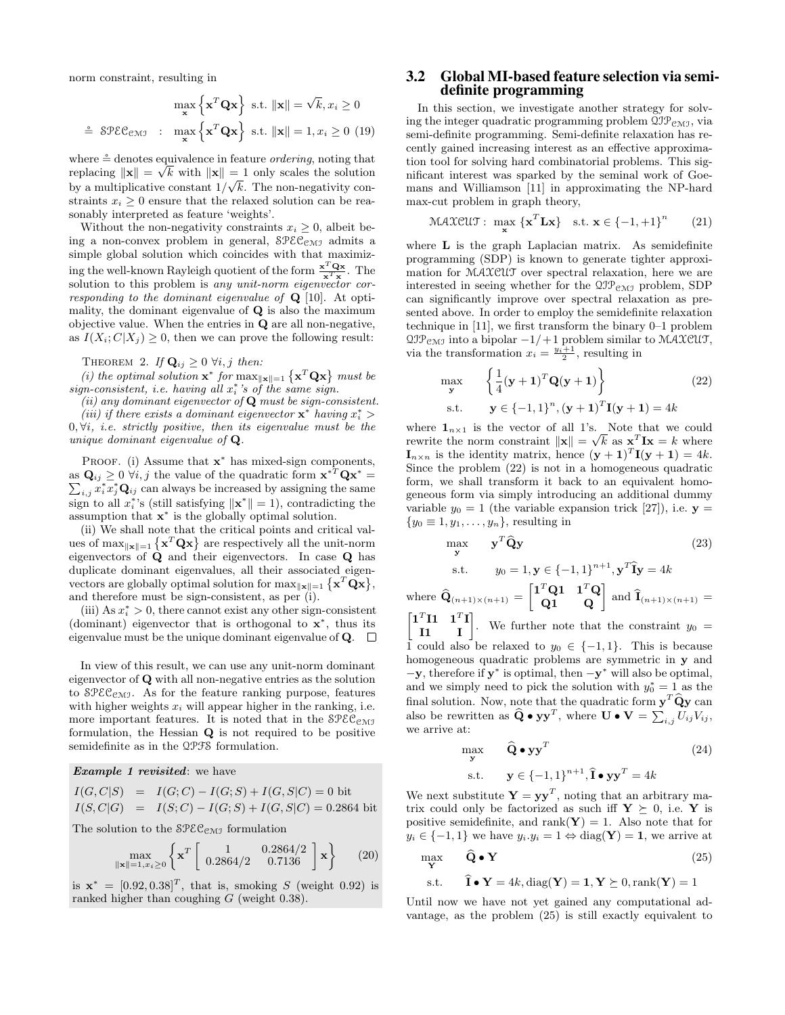norm constraint, resulting in

$$
\max_{\mathbf{x}} \left\{ \mathbf{x}^T \mathbf{Q} \mathbf{x} \right\} \text{ s.t. } ||\mathbf{x}|| = \sqrt{k}, x_i \ge 0
$$
  

$$
\stackrel{\circ}{=} \mathcal{SPEC}_{\mathcal{CMJ}} : \max_{\mathbf{x}} \left\{ \mathbf{x}^T \mathbf{Q} \mathbf{x} \right\} \text{ s.t. } ||\mathbf{x}|| = 1, x_i \ge 0 \text{ (19)}
$$

where  $\stackrel{\circ}{=}$  denotes equivalence in feature *ordering*, noting that replacing  $\|\mathbf{x}\| = \sqrt{k}$  with  $\|\mathbf{x}\| = 1$  only scales the solution by a multiplicative constant  $1/\sqrt{k}$ . The non-negativity constraints  $x_i > 0$  ensure that the relaxed solution can be reasonably interpreted as feature 'weights'.

Without the non-negativity constraints  $x_i \geq 0$ , albeit being a non-convex problem in general,  $\mathcal{SPEC}_{\mathcal{CMI}}$  admits a simple global solution which coincides with that maximizing the well-known Rayleigh quotient of the form  $\frac{x^T Q x}{x^T x}$ . The solution to this problem is *any unit-norm eigenvector cor*responding to the dominant eigenvalue of  $Q$  [10]. At optimality, the dominant eigenvalue of  $Q$  is also the maximum objective value. When the entries in Q are all non-negative, as  $I(X_i; C | X_i) \geq 0$ , then we can prove the following result:

THEOREM 2. If  $\mathbf{Q}_{ij} \geq 0$   $\forall i, j$  then:

(i) the optimal solution  $\mathbf{x}^*$  for  $\max_{\|\mathbf{x}\|=1} {\mathbf{x}^T \mathbf{Q} \mathbf{x}}$  must be  $sign-consistent, i.e.$  having all  $x_i^*$ 's of the same sign.

(ii) any dominant eigenvector of  $Q$  must be sign-consistent.

(iii) if there exists a dominant eigenvector  $\mathbf{x}^*$  having  $x_i^*$  >  $0, \forall i$ , i.e. strictly positive, then its eigenvalue must be the unique dominant eigenvalue of Q.

PROOF. (i) Assume that  $\mathbf{x}^*$  has mixed-sign components, as  $\mathbf{Q}_{ij} \geq 0$   $\forall i, j$  the value of the quadratic form  $\mathbf{x}^{*T} \mathbf{Q} \mathbf{x}^{*}$ as  $\mathbf{Q}_{ij} \geq 0$   $\forall i, j$  the value of the quadratic form  $\mathbf{x}^{*T} \mathbf{Q} \mathbf{x}^* = \sum_{i,j} x_i^* x_j^* \mathbf{Q}_{ij}$  can always be increased by assigning the same sign to all  $x_i^*$ 's (still satisfying  $\|\mathbf{x}^*\| = 1$ ), contradicting the assumption that  $\mathbf{x}^*$  is the globally optimal solution.

(ii) We shall note that the critical points and critical values of max $\|\mathbf{x}\| = 1$   $\{\mathbf{x}^T \mathbf{Q} \mathbf{x}\}\$ are respectively all the unit-norm eigenvectors of  $\dot{Q}$  and their eigenvectors. In case  $Q$  has duplicate dominant eigenvalues, all their associated eigenvectors are globally optimal solution for  $\max_{\|\mathbf{x}\|=1} {\mathbf{x}^T \mathbf{Q} \mathbf{x}}$ , and therefore must be sign-consistent, as per (i).

(iii) As  $x_i^* > 0$ , there cannot exist any other sign-consistent (dominant) eigenvector that is orthogonal to  $\mathbf{x}^*$ , thus its eigenvalue must be the unique dominant eigenvalue of  $Q$ .  $\Box$ 

In view of this result, we can use any unit-norm dominant eigenvector of Q with all non-negative entries as the solution to  $\mathcal{SPEC}_{\mathcal{CMI}}$ . As for the feature ranking purpose, features with higher weights  $x_i$  will appear higher in the ranking, i.e. more important features. It is noted that in the  $\text{SPEC}_{\text{CMJ}}$ formulation, the Hessian Q is not required to be positive semidefinite as in the QPFS formulation.

Example 1 revisited: we have

$$
I(G, C|S) = I(G; C) - I(G; S) + I(G, S|C) = 0 \text{ bit}
$$
  
\n
$$
I(S, C|G) = I(S; C) - I(G; S) + I(G, S|C) = 0.2864 \text{ bit}
$$

The solution to the  $\mathcal{SPEC}_{\mathcal{CMI}}$  formulation

$$
\max_{\|\mathbf{x}\|=1, x_i\geq 0} \left\{ \mathbf{x}^T \begin{bmatrix} 1 & 0.2864/2 \\ 0.2864/2 & 0.7136 \end{bmatrix} \mathbf{x} \right\} \tag{20}
$$

is  $\mathbf{x}^* = [0.92, 0.38]^T$ , that is, smoking S (weight 0.92) is ranked higher than coughing  $G$  (weight 0.38).

## 3.2 Global MI-based feature selection via semidefinite programming

In this section, we investigate another strategy for solving the integer quadratic programming problem  $\mathfrak{QIP}_{\mathfrak{CMI}}$ , via semi-definite programming. Semi-definite relaxation has recently gained increasing interest as an effective approximation tool for solving hard combinatorial problems. This significant interest was sparked by the seminal work of Goemans and Williamson [11] in approximating the NP-hard max-cut problem in graph theory,

$$
\text{MAXCUT}: \max_{\mathbf{x}} \{\mathbf{x}^T \mathbf{L} \mathbf{x}\} \quad \text{s.t. } \mathbf{x} \in \{-1, +1\}^n \tag{21}
$$

where **L** is the graph Laplacian matrix. As semidefinite programming (SDP) is known to generate tighter approximation for MAXCUT over spectral relaxation, here we are interested in seeing whether for the  $2JP_{CMJ}$  problem, SDP can significantly improve over spectral relaxation as presented above. In order to employ the semidefinite relaxation technique in [11], we first transform the binary 0–1 problem  $QJP_{\text{CMJ}}$  into a bipolar  $-1/+1$  problem similar to MAXCUT, via the transformation  $x_i = \frac{y_i+1}{2}$ , resulting in

$$
\max_{\mathbf{y}} \left\{ \frac{1}{4} (\mathbf{y} + \mathbf{1})^T \mathbf{Q} (\mathbf{y} + \mathbf{1}) \right\}
$$
(22)  
s.t. 
$$
\mathbf{y} \in \{-1, 1\}^n, (\mathbf{y} + \mathbf{1})^T \mathbf{I} (\mathbf{y} + \mathbf{1}) = 4k
$$

where  $\mathbf{1}_{n\times 1}$  is the vector of all 1's. Note that we could rewrite the norm constraint  $\|\mathbf{x}\| = \sqrt{k}$  as  $\mathbf{x}^T \mathbf{I} \mathbf{x} = k$  where  $\mathbf{I}_{n \times n}$  is the identity matrix, hence  $(\mathbf{y} + \mathbf{1})^T \mathbf{I}(\mathbf{y} + \mathbf{1}) = 4k$ . Since the problem (22) is not in a homogeneous quadratic form, we shall transform it back to an equivalent homogeneous form via simply introducing an additional dummy variable  $y_0 = 1$  (the variable expansion trick [27]), i.e.  $y =$  ${y_0 \equiv 1, y_1, \ldots, y_n}$ , resulting in

$$
\max_{\mathbf{y}} \qquad \mathbf{y}^T \widehat{\mathbf{Q}} \mathbf{y} \tag{23}
$$
\n
$$
\text{s.t.} \qquad y_0 = 1, \mathbf{y} \in \{-1, 1\}^{n+1}, \mathbf{y}^T \widehat{\mathbf{I}} \mathbf{y} = 4k
$$

where  $\widehat{\mathbf{Q}}_{(n+1)\times(n+1)} = \begin{bmatrix} 1^T \mathbf{Q} \mathbf{1} & \mathbf{1}^T \mathbf{Q} \\ \mathbf{Q} \mathbf{1} & \mathbf{Q} \end{bmatrix}$  and  $\widehat{\mathbf{I}}_{(n+1)\times(n+1)} =$  $\begin{bmatrix} 1^T I1 & 1^T I \\ I1 & I \end{bmatrix}$ . We further note that the constraint  $y_0 =$ 1 could also be relaxed to  $y_0 \in \{-1,1\}$ . This is because homogeneous quadratic problems are symmetric in y and  $-y$ , therefore if  $y^*$  is optimal, then  $-y^*$  will also be optimal, and we simply need to pick the solution with  $y_0^* = 1$  as the final solution. Now, note that the quadratic form  $y^T \hat{Q} y$  can also be rewritten as  $\widehat{Q} \bullet y y^T$ , where  $U \bullet V = \sum_{i,j} U_{ij} V_{ij}$ , we arrive at:

$$
\max_{\mathbf{y}} \qquad \widehat{\mathbf{Q}} \bullet \mathbf{y} \mathbf{y}^T \tag{24}
$$

$$
\text{s.t.} \qquad \mathbf{y} \in \{-1, 1\}^{n+1}, \hat{\mathbf{i}} \bullet \mathbf{y} \mathbf{y}^T = 4k
$$

We next substitute  $Y = yy^T$ , noting that an arbitrary matrix could only be factorized as such iff  $Y \succeq 0$ , i.e. Y is positive semidefinite, and rank( $\mathbf{Y}$ ) = 1. Also note that for  $y_i \in \{-1, 1\}$  we have  $y_i \cdot y_i = 1 \Leftrightarrow \text{diag}(\mathbf{Y}) = \mathbf{1}$ , we arrive at

$$
\max_{\mathbf{Y}} \qquad \widehat{\mathbf{Q}} \bullet \mathbf{Y} \tag{25}
$$

$$
\text{s.t.} \qquad \mathbf{\hat{I}} \bullet \mathbf{Y} = 4k, \text{diag}(\mathbf{Y}) = \mathbf{1}, \mathbf{Y} \succeq 0, \text{rank}(\mathbf{Y}) = 1
$$

Until now we have not yet gained any computational advantage, as the problem (25) is still exactly equivalent to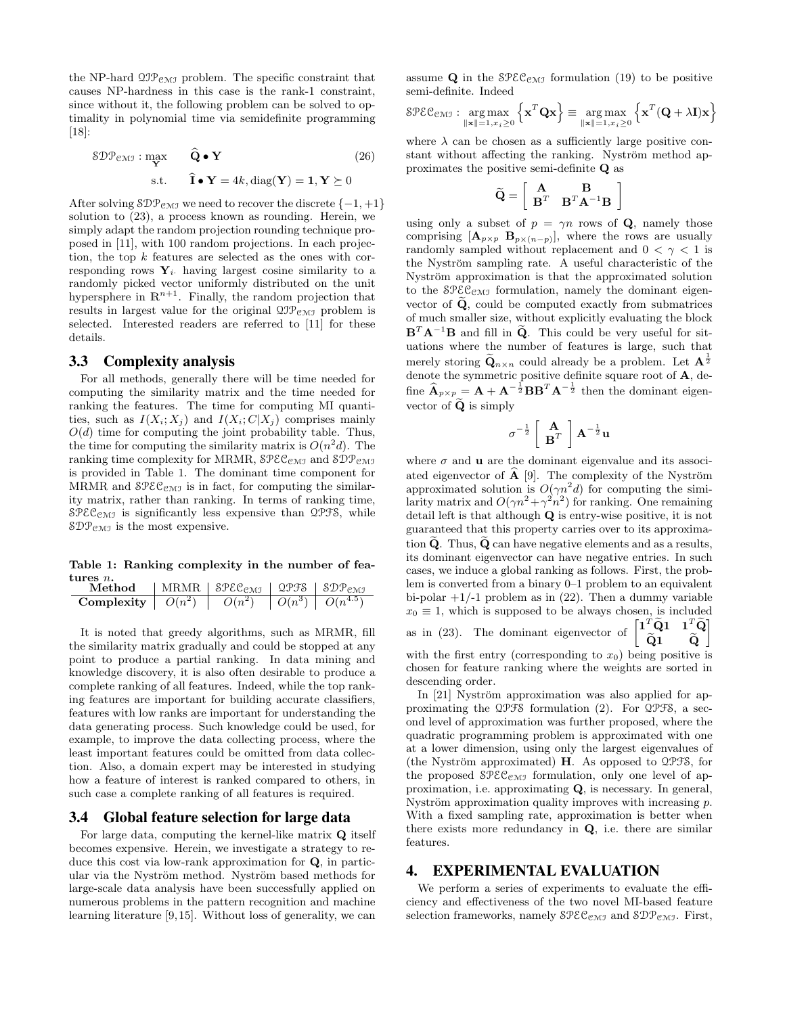the NP-hard  $\mathfrak{OP}_{\mathfrak{CMI}}$  problem. The specific constraint that causes NP-hardness in this case is the rank-1 constraint, since without it, the following problem can be solved to optimality in polynomial time via semidefinite programming [18]:

$$
\mathcal{SDP}_{\text{CMJ}} : \max_{\mathbf{Y}} \qquad \widehat{\mathbf{Q}} \bullet \mathbf{Y}
$$
\n
$$
\text{s.t.} \qquad \widehat{\mathbf{I}} \bullet \mathbf{Y} = 4k, \text{diag}(\mathbf{Y}) = \mathbf{1}, \mathbf{Y} \succeq 0
$$
\n
$$
(26)
$$

After solving  $\text{\textsterling}D\mathcal{P}_{\text{\texttt{CMI}}}$  we need to recover the discrete  $\{-1,+1\}$ solution to (23), a process known as rounding. Herein, we simply adapt the random projection rounding technique proposed in [11], with 100 random projections. In each projection, the top  $k$  features are selected as the ones with corresponding rows  $Y_i$  having largest cosine similarity to a randomly picked vector uniformly distributed on the unit hypersphere in  $\mathbb{R}^{n+1}$ . Finally, the random projection that results in largest value for the original  $\mathfrak{QIP}_{\mathcal{CM}J}$  problem is selected. Interested readers are referred to [11] for these details.

#### 3.3 Complexity analysis

For all methods, generally there will be time needed for computing the similarity matrix and the time needed for ranking the features. The time for computing MI quantities, such as  $I(X_i; X_j)$  and  $I(X_i; C | X_j)$  comprises mainly  $O(d)$  time for computing the joint probability table. Thus, the time for computing the similarity matrix is  $O(n^2d)$ . The ranking time complexity for MRMR,  $\text{SPEC}_{\text{CMJ}}$  and  $\text{SDP}_{\text{CMJ}}$ is provided in Table 1. The dominant time component for MRMR and  $\mathcal{SPEC}_{\mathcal{CMJ}}$  is in fact, for computing the similarity matrix, rather than ranking. In terms of ranking time,  $SPEC<sub>CMI</sub>$  is significantly less expensive than  $QPFS$ , while  $\text{SDP}_{\text{CMJ}}$  is the most expensive.

Table 1: Ranking complexity in the number of features *n*.

| Method                                                                                             | MRMR   $$PEC_{EMJ}$   $Q$ PFS   $$DP_{EMJ}$ |  |
|----------------------------------------------------------------------------------------------------|---------------------------------------------|--|
| <b>Complexity</b> $\begin{bmatrix} O(n^2) & \overline{O(n^2)} & O(n^3) & O(n^{4.5}) \end{bmatrix}$ |                                             |  |

It is noted that greedy algorithms, such as MRMR, fill the similarity matrix gradually and could be stopped at any point to produce a partial ranking. In data mining and knowledge discovery, it is also often desirable to produce a complete ranking of all features. Indeed, while the top ranking features are important for building accurate classifiers, features with low ranks are important for understanding the data generating process. Such knowledge could be used, for example, to improve the data collecting process, where the least important features could be omitted from data collection. Also, a domain expert may be interested in studying how a feature of interest is ranked compared to others, in such case a complete ranking of all features is required.

## 3.4 Global feature selection for large data

For large data, computing the kernel-like matrix  $Q$  itself becomes expensive. Herein, we investigate a strategy to reduce this cost via low-rank approximation for Q, in particular via the Nyström method. Nyström based methods for large-scale data analysis have been successfully applied on numerous problems in the pattern recognition and machine learning literature [9,15]. Without loss of generality, we can assume  $Q$  in the  $\text{SPEC}_{\text{CMJ}}$  formulation (19) to be positive semi-definite. Indeed

$$
\text{Spec}_{\text{CMJ}} : \underset{\|\mathbf{x}\|=1, x_i \geq 0}{\arg \max} \left\{ \mathbf{x}^T \mathbf{Q} \mathbf{x} \right\} \equiv \underset{\|\mathbf{x}\|=1, x_i \geq 0}{\arg \max} \left\{ \mathbf{x}^T (\mathbf{Q} + \lambda \mathbf{I}) \mathbf{x} \right\}
$$

where  $\lambda$  can be chosen as a sufficiently large positive constant without affecting the ranking. Nyström method approximates the positive semi-definite Q as

$$
\widetilde{\mathbf{Q}}=\left[\begin{array}{cc} \mathbf{A} & \mathbf{B} \\ \mathbf{B}^T & \mathbf{B}^T\mathbf{A}^{-1}\mathbf{B} \end{array}\right]
$$

using only a subset of  $p = \gamma n$  rows of Q, namely those comprising  $[\mathbf{A}_{p\times p}$   $\mathbf{B}_{p\times (n-p)}]$ , where the rows are usually randomly sampled without replacement and  $0 < \gamma < 1$  is the Nyström sampling rate. A useful characteristic of the Nyström approximation is that the approximated solution to the  $\mathcal{SPEC}_{\mathcal{CMJ}}$  formulation, namely the dominant eigenvector of  $\tilde{Q}$ , could be computed exactly from submatrices of much smaller size, without explicitly evaluating the block  $\mathbf{B}^T \mathbf{A}^{-1} \mathbf{B}$  and fill in  $\widetilde{\mathbf{Q}}$ . This could be very useful for situations where the number of features is large, such that merely storing  $\widetilde{\mathbf{Q}}_{n\times n}$  could already be a problem. Let  $\mathbf{A}^{\frac{1}{2}}$ denote the symmetric positive definite square root of A, define  $\widehat{\mathbf{A}}_{p \times p} = \mathbf{A} + \mathbf{A}^{-\frac{1}{2}} \mathbf{B} \mathbf{B}^T \mathbf{A}^{-\frac{1}{2}}$  then the dominant eigenvector of  $\widetilde{Q}$  is simply

$$
\sigma^{-\frac{1}{2}}\left[\begin{array}{c}\mathbf{A}\\\mathbf{B}^T\end{array}\right]\mathbf{A}^{-\frac{1}{2}}\mathbf{u}
$$

where  $\sigma$  and **u** are the dominant eigenvalue and its associated eigenvector of  $\hat{A}$  [9]. The complexity of the Nyström approximated solution is  $O(\gamma n^2 d)$  for computing the similarity matrix and  $O(\gamma n^2 + \gamma^2 n^2)$  for ranking. One remaining detail left is that although Q is entry-wise positive, it is not guaranteed that this property carries over to its approximation  $Q$ . Thus,  $Q$  can have negative elements and as a results, its dominant eigenvector can have negative entries. In such cases, we induce a global ranking as follows. First, the problem is converted from a binary 0–1 problem to an equivalent bi-polar  $+1/-1$  problem as in (22). Then a dummy variable  $x_0 \equiv 1$ , which is supposed to be always chosen, is included as in (23). The dominant eigenvector of  $\begin{bmatrix} 1^T\tilde{Q} & 1 & T^T\tilde{Q} & \tilde{Q} & \tilde{Q} & \tilde{Q} & \tilde{Q} & \tilde{Q} & \tilde{Q} & \tilde{Q} & \tilde{Q} & \tilde{Q} & \tilde{Q} & \tilde{Q} & \tilde{Q} & \tilde{Q} & \tilde{Q} & \tilde{Q} & \tilde{Q} & \tilde{Q} & \tilde{Q} & \tilde{Q} & \tilde{Q} & \tilde{Q} & \tilde$  $\begin{matrix} \mathbf{Q1} & \mathbf{Q} \end{matrix}$ 1 with the first entry (corresponding to  $x_0$ ) being positive is chosen for feature ranking where the weights are sorted in descending order.

In  $[21]$  Nyström approximation was also applied for approximating the QPFS formulation (2). For QPFS, a second level of approximation was further proposed, where the quadratic programming problem is approximated with one at a lower dimension, using only the largest eigenvalues of (the Nyström approximated)  $H$ . As opposed to QPFS, for the proposed  $SPEC_{CMJ}$  formulation, only one level of approximation, i.e. approximating Q, is necessary. In general, Nyström approximation quality improves with increasing  $p$ . With a fixed sampling rate, approximation is better when there exists more redundancy in Q, i.e. there are similar features.

## 4. EXPERIMENTAL EVALUATION

We perform a series of experiments to evaluate the efficiency and effectiveness of the two novel MI-based feature selection frameworks, namely  $\text{SPEC}_{\text{CMJ}}$  and  $\text{SDP}_{\text{CMJ}}$ . First,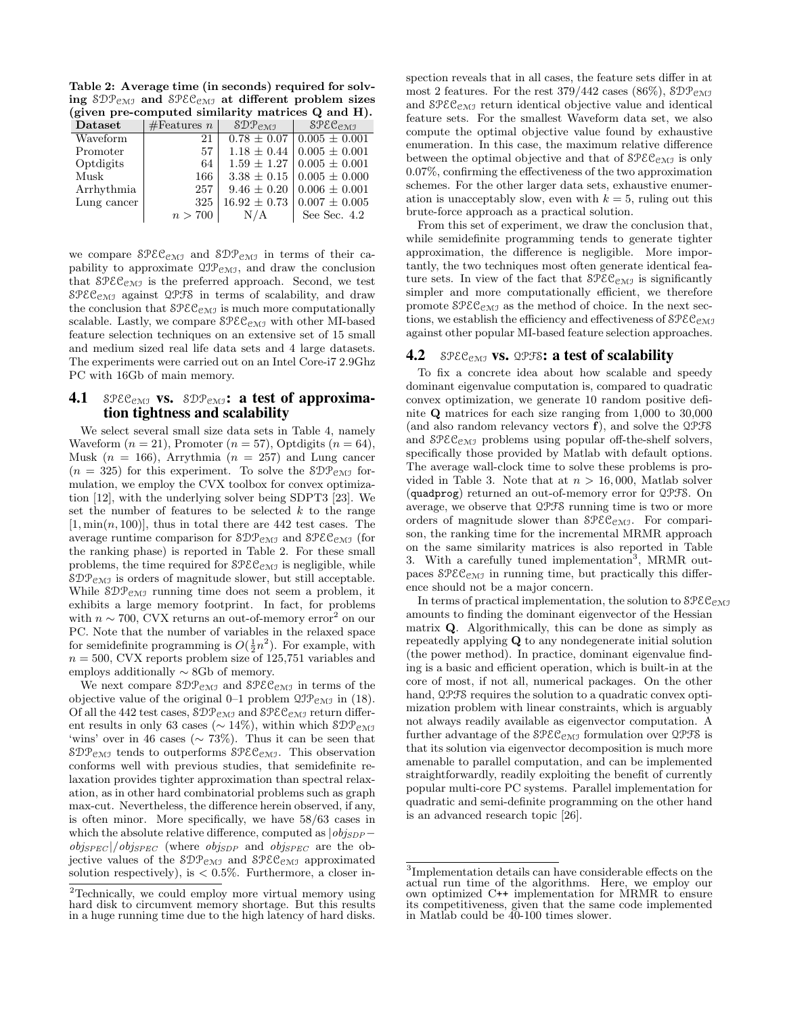Table 2: Average time (in seconds) required for solving  $\text{SDP}_{\text{CMJ}}$  and  $\text{SPEC}_{\text{CMJ}}$  at different problem sizes (given pre-computed similarity matrices Q and H).

|                             |             |                                 | $\mathbf{u}$ and $\mathbf{u}$ are compared similarly matrices of and $\mathbf{u}$ . |  |
|-----------------------------|-------------|---------------------------------|-------------------------------------------------------------------------------------|--|
| $\mathbf{D}\mathbf{ataset}$ | #Features n | $\mathcal{SDP}_{\mathcal{CMI}}$ | $\mathcal{SPEC}_{\mathrm{CMJ}}$                                                     |  |
| Waveform                    | 21          |                                 | $0.78 \pm 0.07 \cdot 0.005 \pm 0.001$                                               |  |
| Promoter                    | 57          |                                 | $1.18 \pm 0.44 \pm 0.005 \pm 0.001$                                                 |  |
| Optdigits                   | 64          |                                 | $1.59 \pm 1.27 \pm 0.005 \pm 0.001$                                                 |  |
| Musk                        | 166         |                                 | $3.38 \pm 0.15 \pm 0.005 \pm 0.000$                                                 |  |
| Arrhythmia                  | 257         |                                 | $9.46 \pm 0.20 \pm 0.006 \pm 0.001$                                                 |  |
| Lung cancer                 | 325         |                                 | $16.92 \pm 0.73 \pm 0.007 \pm 0.005$                                                |  |
|                             | n>700       | N/A                             | See Sec. 4.2                                                                        |  |

we compare  $\mathcal{SPEC}_{\mathcal{CMJ}}$  and  $\mathcal{SDP}_{\mathcal{CMJ}}$  in terms of their capability to approximate  $\mathfrak{O} \mathfrak{P}_{\mathfrak{C} \mathfrak{M} \mathfrak{I}}$ , and draw the conclusion that  $\mathcal{SPEC}_{\mathcal{CMI}}$  is the preferred approach. Second, we test  $SPEC_{CMJ}$  against QPFS in terms of scalability, and draw the conclusion that  $\mathcal{SPEC}_{\mathcal{CMJ}}$  is much more computationally scalable. Lastly, we compare  $\mathcal{SPEC}_{\mathcal{CMI}}$  with other MI-based feature selection techniques on an extensive set of 15 small and medium sized real life data sets and 4 large datasets. The experiments were carried out on an Intel Core-i7 2.9Ghz PC with 16Gb of main memory.

# **4.1** SPEC<sub>CMI</sub> vs. SDP<sub>CMI</sub>: a test of approximation tightness and scalability

We select several small size data sets in Table 4, namely Waveform  $(n = 21)$ , Promoter  $(n = 57)$ , Optdigits  $(n = 64)$ , Musk  $(n = 166)$ , Arrythmia  $(n = 257)$  and Lung cancer  $(n = 325)$  for this experiment. To solve the  $\text{SDP}_{\text{CMJ}}$  formulation, we employ the CVX toolbox for convex optimization [12], with the underlying solver being SDPT3 [23]. We set the number of features to be selected  $k$  to the range  $[1, \min(n, 100)]$ , thus in total there are 442 test cases. The average runtime comparison for  $\mathcal{SDP}_{\mathcal{CMI}}$  and  $\mathcal{SPEC}_{\mathcal{CMI}}$  (for the ranking phase) is reported in Table 2. For these small problems, the time required for  $\mathcal{SPEC}_{\mathcal{CMI}}$  is negligible, while  $SDP<sub>CMJ</sub>$  is orders of magnitude slower, but still acceptable. While  $\mathcal{SDP}_{\mathcal{CMI}}$  running time does not seem a problem, it exhibits a large memory footprint. In fact, for problems with  $n \sim 700$ , CVX returns an out-of-memory error<sup>2</sup> on our PC. Note that the number of variables in the relaxed space for semidefinite programming is  $O(\frac{1}{2}n^2)$ . For example, with  $n = 500$ , CVX reports problem size of 125,751 variables and employs additionally ∼ 8Gb of memory.

We next compare  $\mathcal{SDP}_{\mathcal{CMJ}}$  and  $\mathcal{SPEC}_{\mathcal{CMJ}}$  in terms of the objective value of the original 0–1 problem  $\mathfrak{QIP}_{\mathfrak{CMJ}}$  in (18). Of all the 442 test cases,  $\text{SDP}_{\text{CMJ}}$  and  $\text{SPEC}_{\text{CMJ}}$  return different results in only 63 cases ( $\sim 14\%$ ), within which  $\text{SDP}_{\text{CMJ}}$ 'wins' over in 46 cases (∼ 73%). Thus it can be seen that  $SDP_{\text{CMJ}}$  tends to outperforms  $SPEC_{\text{CMJ}}$ . This observation conforms well with previous studies, that semidefinite relaxation provides tighter approximation than spectral relaxation, as in other hard combinatorial problems such as graph max-cut. Nevertheless, the difference herein observed, if any, is often minor. More specifically, we have 58/63 cases in which the absolute relative difference, computed as  $|obj_{SDP}$  $obj_{SPEC}$  |/objspEC (where objspp and objspEC are the objective values of the  $\mathcal{SDP}_{\mathcal{CMJ}}$  and  $\mathcal{SPEC}_{\mathcal{CMJ}}$  approximated solution respectively), is  $\langle 0.5\% \rangle$ . Furthermore, a closer inspection reveals that in all cases, the feature sets differ in at most 2 features. For the rest  $379/442$  cases  $(86\%)$ ,  $\text{SDP}_{\text{CMI}}$ and  $\mathcal{SPEC}_{\mathcal{CMI}}$  return identical objective value and identical feature sets. For the smallest Waveform data set, we also compute the optimal objective value found by exhaustive enumeration. In this case, the maximum relative difference between the optimal objective and that of  $\mathcal{SPEC}_{\mathcal{CMI}}$  is only 0.07%, confirming the effectiveness of the two approximation schemes. For the other larger data sets, exhaustive enumeration is unacceptably slow, even with  $k = 5$ , ruling out this brute-force approach as a practical solution.

From this set of experiment, we draw the conclusion that, while semidefinite programming tends to generate tighter approximation, the difference is negligible. More importantly, the two techniques most often generate identical feature sets. In view of the fact that  $\mathcal{SPEC}_{\mathcal{CMI}}$  is significantly simpler and more computationally efficient, we therefore promote  $\mathcal{SPEC}_{\mathcal{CMJ}}$  as the method of choice. In the next sections, we establish the efficiency and effectiveness of  $\text{SPEC}_{\text{CMJ}}$ against other popular MI-based feature selection approaches.

## **4.2** SPEC<sub>CMJ</sub> **vs.** QPFS: **a test of scalability**

To fix a concrete idea about how scalable and speedy dominant eigenvalue computation is, compared to quadratic convex optimization, we generate 10 random positive definite Q matrices for each size ranging from 1,000 to 30,000 (and also random relevancy vectors f), and solve the QPFS and  $\mathcal{SPEC}_{\mathcal{CMI}}$  problems using popular off-the-shelf solvers, specifically those provided by Matlab with default options. The average wall-clock time to solve these problems is provided in Table 3. Note that at  $n > 16,000$ , Matlab solver (quadprog) returned an out-of-memory error for QPFS. On average, we observe that QPFS running time is two or more orders of magnitude slower than  $\mathcal{SPEC}_{\mathcal{CMI}}$ . For comparison, the ranking time for the incremental MRMR approach on the same similarity matrices is also reported in Table 3. With a carefully tuned implementation<sup>3</sup>, MRMR outpaces  $\mathcal{SPEC}_{\mathcal{CMI}}$  in running time, but practically this difference should not be a major concern.

In terms of practical implementation, the solution to  $\mathcal{SPEC}_{\text{CMI}}$ amounts to finding the dominant eigenvector of the Hessian matrix Q. Algorithmically, this can be done as simply as repeatedly applying Q to any nondegenerate initial solution (the power method). In practice, dominant eigenvalue finding is a basic and efficient operation, which is built-in at the core of most, if not all, numerical packages. On the other hand,  $QPFS$  requires the solution to a quadratic convex optimization problem with linear constraints, which is arguably not always readily available as eigenvector computation. A further advantage of the  $\text{SPEC}_{\text{CMJ}}$  formulation over QPFS is that its solution via eigenvector decomposition is much more amenable to parallel computation, and can be implemented straightforwardly, readily exploiting the benefit of currently popular multi-core PC systems. Parallel implementation for quadratic and semi-definite programming on the other hand is an advanced research topic [26].

<sup>2</sup>Technically, we could employ more virtual memory using hard disk to circumvent memory shortage. But this results in a huge running time due to the high latency of hard disks.

<sup>3</sup> Implementation details can have considerable effects on the actual run time of the algorithms. Here, we employ our own optimized C++ implementation for MRMR to ensure its competitiveness, given that the same code implemented in Matlab could be 40-100 times slower.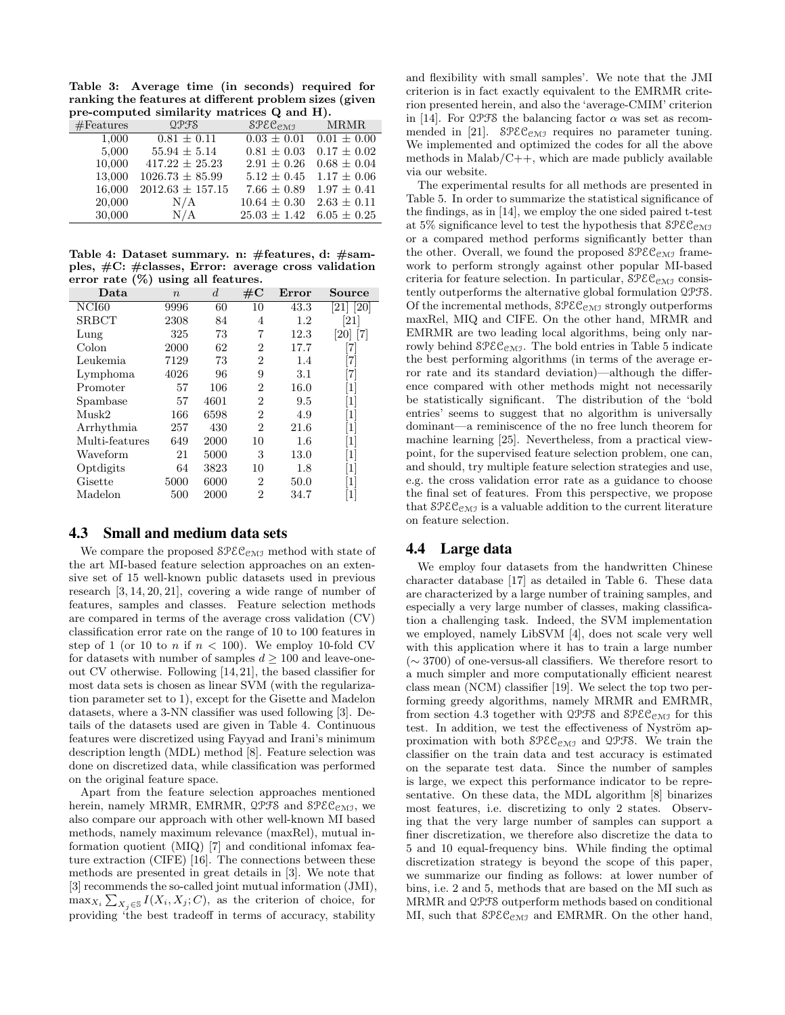Table 3: Average time (in seconds) required for ranking the features at different problem sizes (given pre-computed similarity matrices Q and H).

| #Features | QPFS                 | $SPEC_{CMT}$     | <b>MRMR</b>     |
|-----------|----------------------|------------------|-----------------|
| 1,000     | $0.81 \pm 0.11$      | $0.03 \pm 0.01$  | $0.01 \pm 0.00$ |
| 5,000     | $55.94 \pm 5.14$     | $0.81 \pm 0.03$  | $0.17 \pm 0.02$ |
| 10,000    | $417.22 \pm 25.23$   | $2.91 \pm 0.26$  | $0.68 \pm 0.04$ |
| 13,000    | $1026.73 \pm 85.99$  | $5.12 \pm 0.45$  | $1.17 \pm 0.06$ |
| 16,000    | $2012.63 \pm 157.15$ | $7.66 \pm 0.89$  | $1.97 \pm 0.41$ |
| 20,000    | N/A                  | $10.64 \pm 0.30$ | $2.63 \pm 0.11$ |
| 30,000    | N/A                  | $25.03 \pm 1.42$ | $6.05 \pm 0.25$ |

Table 4: Dataset summary. n: #features, d: #samples, #C: #classes, Error: average cross validation error rate (%) using all features.

| Data           | $\boldsymbol{n}$ | d    | $\#\mathrm{C}$ | Error   | Source            |
|----------------|------------------|------|----------------|---------|-------------------|
| NCI60          | 9996             | 60   | 10             | 43.3    | [21] [20]         |
| <b>SRBCT</b>   | 2308             | 84   | 4              | $1.2\,$ | [21]              |
| Lung           | 325              | 73   | 7              | 12.3    | 20   7            |
| Colon          | 2000             | 62   | 2              | 17.7    | [7]               |
| Leukemia       | 7129             | 73   | $\overline{2}$ | 1.4     | 71                |
| Lymphoma       | 4026             | 96   | 9              | 3.1     | 71                |
| Promoter       | 57               | 106  | $\overline{2}$ | 16.0    | $\vert 1 \vert$   |
| Spambase       | 57               | 4601 | 2              | 9.5     | $\lceil 1 \rceil$ |
| Musk2          | 166              | 6598 | $\overline{2}$ | 4.9     | $\lceil 1 \rceil$ |
| Arrhythmia     | 257              | 430  | $\overline{2}$ | 21.6    | $\lceil 1 \rceil$ |
| Multi-features | 649              | 2000 | 10             | 1.6     | [1]               |
| Waveform       | 21               | 5000 | 3              | 13.0    | $\lceil 1 \rceil$ |
| Optdigits      | 64               | 3823 | 10             | 1.8     | $\lceil 1 \rceil$ |
| Gisette        | 5000             | 6000 | $\overline{2}$ | 50.0    | [1]               |
| Madelon        | 500              | 2000 | 2              | 34.7    | $\left  \right $  |

#### 4.3 Small and medium data sets

We compare the proposed  $\mathcal{SPEC}_{\mathcal{CMI}}$  method with state of the art MI-based feature selection approaches on an extensive set of 15 well-known public datasets used in previous research [3, 14, 20, 21], covering a wide range of number of features, samples and classes. Feature selection methods are compared in terms of the average cross validation (CV) classification error rate on the range of 10 to 100 features in step of 1 (or 10 to n if  $n < 100$ ). We employ 10-fold CV for datasets with number of samples  $d \geq 100$  and leave-oneout CV otherwise. Following [14, 21], the based classifier for most data sets is chosen as linear SVM (with the regularization parameter set to 1), except for the Gisette and Madelon datasets, where a 3-NN classifier was used following [3]. Details of the datasets used are given in Table 4. Continuous features were discretized using Fayyad and Irani's minimum description length (MDL) method [8]. Feature selection was done on discretized data, while classification was performed on the original feature space.

Apart from the feature selection approaches mentioned herein, namely MRMR, EMRMR,  $Q$ PFS and  $S$ PEC<sub>CMI</sub>, we also compare our approach with other well-known MI based methods, namely maximum relevance (maxRel), mutual information quotient (MIQ) [7] and conditional infomax feature extraction (CIFE) [16]. The connections between these methods are presented in great details in [3]. We note that [3] recommends the so-called joint mutual information (JMI),  $\max_{X_i} \sum_{X_j \in \mathcal{S}} I(X_i, X_j; C)$ , as the criterion of choice, for providing 'the best tradeoff in terms of accuracy, stability

and flexibility with small samples'. We note that the JMI criterion is in fact exactly equivalent to the EMRMR criterion presented herein, and also the 'average-CMIM' criterion in [14]. For  $\mathcal{QPS}$  the balancing factor  $\alpha$  was set as recommended in [21].  $\text{SPEC}_{\text{CMI}}$  requires no parameter tuning. We implemented and optimized the codes for all the above methods in  $Malab/C++$ , which are made publicly available via our website.

The experimental results for all methods are presented in Table 5. In order to summarize the statistical significance of the findings, as in [14], we employ the one sided paired t-test at 5% significance level to test the hypothesis that  $SPEC_{\text{CMJ}}$ or a compared method performs significantly better than the other. Overall, we found the proposed  $\mathcal{SPEC}_{\mathcal{CMI}}$  framework to perform strongly against other popular MI-based criteria for feature selection. In particular,  $\mathcal{SPEC}_{\mathcal{CMI}}$  consistently outperforms the alternative global formulation QPFS. Of the incremental methods,  $\mathcal{SPEC}_{\mathcal{CMI}}$  strongly outperforms maxRel, MIQ and CIFE. On the other hand, MRMR and EMRMR are two leading local algorithms, being only narrowly behind  $\mathcal{SPEC}_{\mathcal{CMI}}$ . The bold entries in Table 5 indicate the best performing algorithms (in terms of the average error rate and its standard deviation)—although the difference compared with other methods might not necessarily be statistically significant. The distribution of the 'bold entries' seems to suggest that no algorithm is universally dominant—a reminiscence of the no free lunch theorem for machine learning [25]. Nevertheless, from a practical viewpoint, for the supervised feature selection problem, one can, and should, try multiple feature selection strategies and use, e.g. the cross validation error rate as a guidance to choose the final set of features. From this perspective, we propose that  $\mathcal{SPEC}_{\mathcal{CMI}}$  is a valuable addition to the current literature on feature selection.

# 4.4 Large data

We employ four datasets from the handwritten Chinese character database [17] as detailed in Table 6. These data are characterized by a large number of training samples, and especially a very large number of classes, making classification a challenging task. Indeed, the SVM implementation we employed, namely LibSVM [4], does not scale very well with this application where it has to train a large number (∼ 3700) of one-versus-all classifiers. We therefore resort to a much simpler and more computationally efficient nearest class mean (NCM) classifier [19]. We select the top two performing greedy algorithms, namely MRMR and EMRMR, from section 4.3 together with QPFS and  $\text{SPEC}_{\text{CMJ}}$  for this test. In addition, we test the effectiveness of Nyström approximation with both  $\text{SPEC}_{\text{CMJ}}$  and  $\text{QPFS.}$  We train the classifier on the train data and test accuracy is estimated on the separate test data. Since the number of samples is large, we expect this performance indicator to be representative. On these data, the MDL algorithm [8] binarizes most features, i.e. discretizing to only 2 states. Observing that the very large number of samples can support a finer discretization, we therefore also discretize the data to 5 and 10 equal-frequency bins. While finding the optimal discretization strategy is beyond the scope of this paper, we summarize our finding as follows: at lower number of bins, i.e. 2 and 5, methods that are based on the MI such as MRMR and QPFS outperform methods based on conditional MI, such that  $\mathcal{SPEC}_{\mathcal{CMJ}}$  and EMRMR. On the other hand,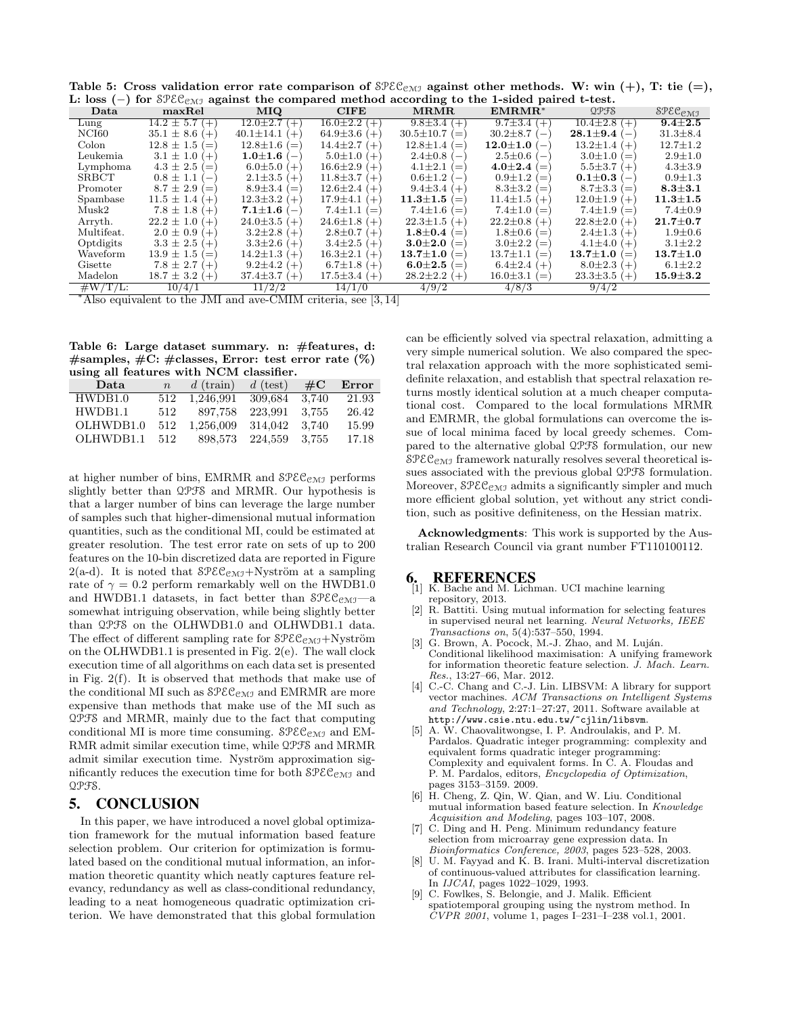Table 5: Cross validation error rate comparison of  $\mathcal{SPEC}_{\mathcal{CMJ}}$  against other methods. W: win (+), T: tie (=), L: loss (−) for  $\Im \text{PEC}_{\Im \text{MJ}}$  against the compared method according to the 1-sided paired t-test.

| Data         | maxRel                                    | <b>MIQ</b>                                | <b>CIFE</b>               | MRMR                      | $EMRMR^*$                                  | QPFS                                 | $SPEC_{\text{CMJ}}$ |
|--------------|-------------------------------------------|-------------------------------------------|---------------------------|---------------------------|--------------------------------------------|--------------------------------------|---------------------|
| Lung         | $14.2 \pm 5.7$ (+)                        | $12.0 \pm 2.7$<br>$(+)$                   | $16.0 \pm 2.2$ (+)        | $9.8 \pm 3.4$ (+)         | $9.7 \pm 3.4$ (+)                          | $10.4 \pm 2.8$ (+)                   | $9.4 \pm 2.5$       |
| NCI60        | $35.1 \pm 8.6 (+)$                        | $40.1 \pm 14.1$<br>$(+$                   | $64.9 \pm 3.6$<br>$(+)$   | $30.5 \pm 10.7$<br>(      | $30.2 \pm 8.7$<br>$\overline{\phantom{a}}$ | $28.1 \!\pm\! 9.4$<br>$\overline{ }$ | $31.3 \pm 8.4$      |
| Colon        | $12.8 \pm 1.5$<br>$\epsilon =$            | $12.8 \pm 1.6 (=$                         | $14.4 \pm 2.7$<br>$($ +   | $12.8 \pm 1.4$<br>(       | $12.0{\pm}1.0$<br>$\overline{\phantom{0}}$ | $13.2 \pm 1.4$ (+)                   | $12.7 \pm 1.2$      |
| Leukemia     | $3.1 \pm 1.0$<br>$(+)$                    | $1.0{\pm}1.6$<br>$1 \rightarrow 1$        | $5.0 \pm 1.0$<br>$(+)$    | $2.4 \pm 0.8$<br>$(-$     | $2.5 \pm 0.6$<br>$\overline{ }$            | $3.0 \pm 1.0$<br>(                   | $2.9 \pm 1.0$       |
| Lymphoma     | $4.3 \pm 2.5$<br>$\epsilon =$             | $6.0{\pm}5.0$<br>$(+)$                    | $16.6 \pm 2.9$<br>$(+)$   | $4.1 \pm 2.1$<br>(        | $4.0{\pm}2.4($                             | $5.5 \pm 3.7 (+)$                    | $4.3 \pm 3.9$       |
| <b>SRBCT</b> | $0.8 \pm 1.1$<br>$\overline{\phantom{m}}$ | $2.1 \pm 3.5$ (+)                         | $11.8 \pm 3.7$<br>$(+)$   | $0.6 \pm 1.2$<br>$\iota$  | $0.9 \pm 1.2$<br>$\equiv$                  | $0.1{\pm}0.3$<br>$\overline{ }$      | $0.9 \pm 1.3$       |
| Promoter     | $8.7 \pm 2.9 (=$                          | $8.9 \pm 3.4$ (=                          | $12.6 \pm 2.4$ (+)        | $9.4 \pm 3.4$ (+)         | $8.3 \pm 3.2$<br>$=$                       | $8.7 \pm 3.3$ (=                     | $8.3{\pm}3.1$       |
| Spambase     | $11.5 \pm 1.4$ (+)                        | $12.3 \pm 3.2$ (+)                        | $17.9 \pm 4.1$<br>$(+)$   | $11.3{\pm}1.5$<br>(       | $11.4 \pm 1.5$ (+)                         | $12.0 \pm 1.9$ (+)                   | $11.3 \pm 1.5$      |
| Musk2        | $7.8 \pm 1.8$<br>$($ $+$                  | $7.1{\pm}1.6$<br>$\overline{\phantom{0}}$ | $7.4 \pm 1.1$<br>(        | $7.4 \pm 1.6$<br>(        | $7.4 \pm 1.0 (=$                           | 7.4 $\pm$ 1.9 ( $=$ )                | $7.4 \pm 0.9$       |
| Arryth.      | $22.2 \pm 1.0$<br>$+$                     | $24.0 \pm 3.5$ (+)                        | $24.6 \pm 1.8$<br>$($ $+$ | $22.3 \pm 1.5$<br>$($ $+$ | $22.2 \pm 0.8$<br>$+$                      | $22.8 \pm 2.0$<br>$(+)$              | $21.7 \pm 0.7$      |
| Multifeat.   | $2.0 \pm 0.9$ (+)                         | $3.2\pm2.8$ (+)                           | $2.8 \pm 0.7$<br>$(+)$    | $1.8{\pm}0.4$<br>(        | $1.8 \pm 0.6$ (=                           | $2.4 \pm 1.3$ (+)                    | $1.9 \pm 0.6$       |
| Optdigits    | $3.3 \pm 2.5 (+)$                         | $3.3\pm2.6$ (+)                           | $3.4 \pm 2.5$<br>$(+)$    | $3.0{\pm}2.0$<br>(        | $3.0 \pm 2.2$<br>$(=$                      | $4.1 \pm 4.0 (+)$                    | $3.1 \pm 2.2$       |
| Waveform     | $13.9 \pm 1.5 (=$                         | $14.2 \pm 1.3$<br>$($ +                   | $16.3 \pm 2.1$<br>$(+)$   | $13.7{\pm}1.0$<br>(       | $13.7 \pm 1.1$<br>$\equiv$                 | $13.7{\pm}1.0$<br>(                  | $13.7 \pm 1.0$      |
| Gisette      | $7.8 \pm 2.7$<br>$($ $+$                  | $9.2 \pm 4.2$<br>$+$                      | $6.7 \pm 1.8$<br>$(+)$    | $6.0{\pm}2.5$<br>(        | $6.4 \pm 2.4$ (+)                          | $8.0 \pm 2.3$ (+)                    | $6.1 \pm 2.2$       |
| Madelon      | $18.7 \pm 3.2$ (+)                        | $37.4 \pm 3.7$ (+)                        | $17.5 \pm 3.4$ (+)        | $28.2 \pm 2.2$<br>$($ +   | $16.0 \pm 3.1$<br>(                        | $23.3\pm3.5(+)$                      | $15.9{\pm}3.2$      |
| $\#W/T/L$ :  | 10/4/1                                    | 11/2/2                                    | 14/1/0                    | 4/9/2                     | 4/8/3                                      | 9/4/2                                |                     |

<sup>∗</sup>Also equivalent to the JMI and ave-CMIM criteria, see [3, 14]

Table 6: Large dataset summary. n: #features, d:  $#samples, \#C: \#classes, Error: test error rate (%)$ using all features with NCM classifier.

| Data      | $\boldsymbol{n}$ | $d$ (train) | $d$ (test) | $\#\mathrm{C}$ | Error |
|-----------|------------------|-------------|------------|----------------|-------|
| HWDB1.0   | 512              | 1,246,991   | 309,684    | 3.740          | 21.93 |
| HWDB1.1   | 512              | 897.758     | 223,991    | 3.755          | 26.42 |
| OLHWDB1.0 | 512              | 1,256,009   | 314.042    | 3.740          | 15.99 |
| OLHWDB1.1 | 512              | 898,573     | 224,559    | - 3.755        | 17.18 |
|           |                  |             |            |                |       |

at higher number of bins, EMRMR and  $\mathcal{SPEC}_{\mathcal{CMI}}$  performs slightly better than QPFS and MRMR. Our hypothesis is that a larger number of bins can leverage the large number of samples such that higher-dimensional mutual information quantities, such as the conditional MI, could be estimated at greater resolution. The test error rate on sets of up to 200 features on the 10-bin discretized data are reported in Figure 2(a-d). It is noted that  $\mathcal{SPEC}_{\mathcal{CMI}} + Nyström$  at a sampling rate of  $\gamma = 0.2$  perform remarkably well on the HWDB1.0 and HWDB1.1 datasets, in fact better than  $\mathcal{SPEC}_{\mathcal{CMI}}$ —a somewhat intriguing observation, while being slightly better than QPFS on the OLHWDB1.0 and OLHWDB1.1 data. The effect of different sampling rate for  $\mathcal{SPEC}_{\mathcal{CMI}}$ +Nyström on the OLHWDB1.1 is presented in Fig. 2(e). The wall clock execution time of all algorithms on each data set is presented in Fig. 2(f). It is observed that methods that make use of the conditional MI such as  $\text{SPEC}_{\text{CMJ}}$  and EMRMR are more expensive than methods that make use of the MI such as QPFS and MRMR, mainly due to the fact that computing conditional MI is more time consuming.  $\text{SPEC}_{\text{CMJ}}$  and EM-RMR admit similar execution time, while QPFS and MRMR admit similar execution time. Nyström approximation significantly reduces the execution time for both  $\mathcal{SPEC}_{\mathcal{CMJ}}$  and QPFS.

# 5. CONCLUSION

In this paper, we have introduced a novel global optimization framework for the mutual information based feature selection problem. Our criterion for optimization is formulated based on the conditional mutual information, an information theoretic quantity which neatly captures feature relevancy, redundancy as well as class-conditional redundancy, leading to a neat homogeneous quadratic optimization criterion. We have demonstrated that this global formulation can be efficiently solved via spectral relaxation, admitting a very simple numerical solution. We also compared the spectral relaxation approach with the more sophisticated semidefinite relaxation, and establish that spectral relaxation returns mostly identical solution at a much cheaper computational cost. Compared to the local formulations MRMR and EMRMR, the global formulations can overcome the issue of local minima faced by local greedy schemes. Compared to the alternative global QPFS formulation, our new  $SPEC<sub>CMJ</sub>$  framework naturally resolves several theoretical issues associated with the previous global QPFS formulation. Moreover,  $\mathcal{SPEC}_{\mathcal{CMJ}}$  admits a significantly simpler and much more efficient global solution, yet without any strict condition, such as positive definiteness, on the Hessian matrix.

Acknowledgments: This work is supported by the Australian Research Council via grant number FT110100112.

#### 6. REFERENCES

- K. Bache and M. Lichman. UCI machine learning repository, 2013.
- [2] R. Battiti. Using mutual information for selecting features in supervised neural net learning. Neural Networks, IEEE Transactions on, 5(4):537–550, 1994.
- G. Brown, A. Pocock, M.-J. Zhao, and M. Luján. Conditional likelihood maximisation: A unifying framework for information theoretic feature selection. J. Mach. Learn. Res., 13:27–66, Mar. 2012.
- [4] C.-C. Chang and C.-J. Lin. LIBSVM: A library for support vector machines. ACM Transactions on Intelligent Systems and Technology, 2:27:1–27:27, 2011. Software available at http://www.csie.ntu.edu.tw/~cjlin/libsvm.
- [5] A. W. Chaovalitwongse, I. P. Androulakis, and P. M. Pardalos. Quadratic integer programming: complexity and equivalent forms quadratic integer programming: Complexity and equivalent forms. In C. A. Floudas and P. M. Pardalos, editors, Encyclopedia of Optimization, pages 3153–3159. 2009.
- [6] H. Cheng, Z. Qin, W. Qian, and W. Liu. Conditional mutual information based feature selection. In Knowledge Acquisition and Modeling, pages 103–107, 2008.
- [7] C. Ding and H. Peng. Minimum redundancy feature selection from microarray gene expression data. In Bioinformatics Conference, 2003, pages 523–528, 2003.
- U. M. Fayyad and K. B. Irani. Multi-interval discretization of continuous-valued attributes for classification learning. In IJCAI, pages 1022–1029, 1993.
- [9] C. Fowlkes, S. Belongie, and J. Malik. Efficient spatiotemporal grouping using the nystrom method. In CVPR 2001, volume 1, pages I–231–I–238 vol.1, 2001.